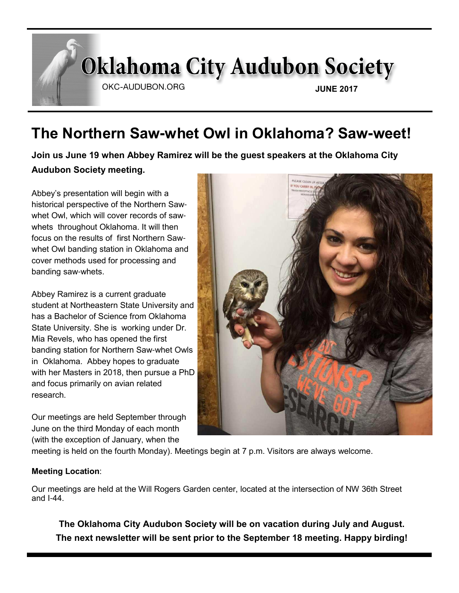# **Oklahoma City Audubon Society**

OKC-AUDUBON.ORG

**JUNE 2017**

# **The Northern Saw-whet Owl in Oklahoma? Saw-weet!**

**Join us June 19 when Abbey Ramirez will be the guest speakers at the Oklahoma City Audubon Society meeting.**

Abbey's presentation will begin with a historical perspective of the Northern Sawwhet Owl, which will cover records of sawwhets throughout Oklahoma. It will then focus on the results of first Northern Sawwhet Owl banding station in Oklahoma and cover methods used for processing and banding saw-whets.

Abbey Ramirez is a current graduate student at Northeastern State University and has a Bachelor of Science from Oklahoma State University. She is working under Dr. Mia Revels, who has opened the first banding station for Northern Saw-whet Owls in Oklahoma. Abbey hopes to graduate with her Masters in 2018, then pursue a PhD and focus primarily on avian related research.

Our meetings are held September through June on the third Monday of each month (with the exception of January, when the



meeting is held on the fourth Monday). Meetings begin at 7 p.m. Visitors are always welcome.

#### **Meeting Location**:

Our meetings are held at the Will Rogers Garden center, located at the intersection of NW 36th Street and I-44.

**The Oklahoma City Audubon Society will be on vacation during July and August. The next newsletter will be sent prior to the September 18 meeting. Happy birding!**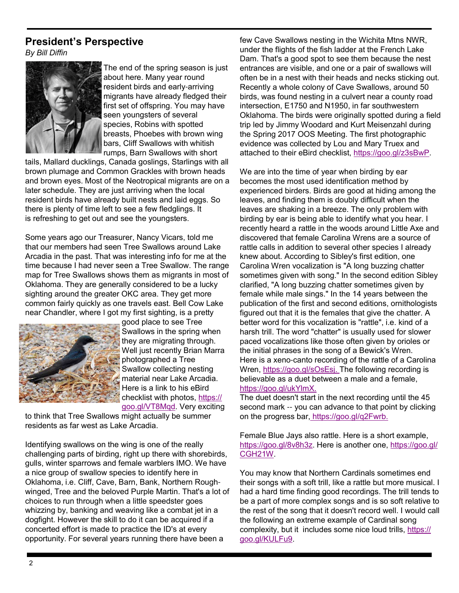#### **President's Perspective**

*By Bill Diffin*



The end of the spring season is just about here. Many year round resident birds and early-arriving migrants have already fledged their first set of offspring. You may have seen youngsters of several species, Robins with spotted breasts, Phoebes with brown wing bars, Cliff Swallows with whitish rumps, Barn Swallows with short

tails, Mallard ducklings, Canada goslings, Starlings with all brown plumage and Common Grackles with brown heads and brown eyes. Most of the Neotropical migrants are on a later schedule. They are just arriving when the local resident birds have already built nests and laid eggs. So there is plenty of time left to see a few fledglings. It is refreshing to get out and see the youngsters.

Some years ago our Treasurer, Nancy Vicars, told me that our members had seen Tree Swallows around Lake Arcadia in the past. That was interesting info for me at the time because I had never seen a Tree Swallow. The range map for Tree Swallows shows them as migrants in most of Oklahoma. They are generally considered to be a lucky sighting around the greater OKC area. They get more common fairly quickly as one travels east. Bell Cow Lake near Chandler, where I got my first sighting, is a pretty



good place to see Tree Swallows in the spring when they are migrating through. Well just recently Brian Marra photographed a Tree Swallow collecting nesting material near Lake Arcadia. Here is a link to his eBird checklist with photos, https:// goo.gl/VT8Mqd. Very exciting

to think that Tree Swallows might actually be summer residents as far west as Lake Arcadia.

Identifying swallows on the wing is one of the really challenging parts of birding, right up there with shorebirds, gulls, winter sparrows and female warblers IMO. We have a nice group of swallow species to identify here in Oklahoma, i.e. Cliff, Cave, Barn, Bank, Northern Roughwinged, Tree and the beloved Purple Martin. That's a lot of choices to run through when a little speedster goes whizzing by, banking and weaving like a combat jet in a dogfight. However the skill to do it can be acquired if a concerted effort is made to practice the ID's at every opportunity. For several years running there have been a

few Cave Swallows nesting in the Wichita Mtns NWR, under the flights of the fish ladder at the French Lake Dam. That's a good spot to see them because the nest entrances are visible, and one or a pair of swallows will often be in a nest with their heads and necks sticking out. Recently a whole colony of Cave Swallows, around 50 birds, was found nesting in a culvert near a county road intersection, E1750 and N1950, in far southwestern Oklahoma. The birds were originally spotted during a field trip led by Jimmy Woodard and Kurt Meisenzahl during the Spring 2017 OOS Meeting. The first photographic evidence was collected by Lou and Mary Truex and attached to their eBird checklist, https://goo.gl/z3sBwP.

We are into the time of year when birding by ear becomes the most used identification method by experienced birders. Birds are good at hiding among the leaves, and finding them is doubly difficult when the leaves are shaking in a breeze. The only problem with birding by ear is being able to identify what you hear. I recently heard a rattle in the woods around Little Axe and discovered that female Carolina Wrens are a source of rattle calls in addition to several other species I already knew about. According to Sibley's first edition, one Carolina Wren vocalization is "A long buzzing chatter sometimes given with song." In the second edition Sibley clarified, "A long buzzing chatter sometimes given by female while male sings." In the 14 years between the publication of the first and second editions, ornithologists figured out that it is the females that give the chatter. A better word for this vocalization is "rattle", i.e. kind of a harsh trill. The word "chatter" is usually used for slower paced vocalizations like those often given by orioles or the initial phrases in the song of a Bewick's Wren. Here is a xeno-canto recording of the rattle of a Carolina Wren, https://goo.gl/sOsEsj. The following recording is believable as a duet between a male and a female, https://goo.gl/ukYlmX.

The duet doesn't start in the next recording until the 45 second mark -- you can advance to that point by clicking on the progress bar, https://goo.gl/q2Fwrb.

Female Blue Jays also rattle. Here is a short example, https://goo.gl/8v8h3z. Here is another one, https://goo.gl/ CGH21W.

You may know that Northern Cardinals sometimes end their songs with a soft trill, like a rattle but more musical. I had a hard time finding good recordings. The trill tends to be a part of more complex songs and is so soft relative to the rest of the song that it doesn't record well. I would call the following an extreme example of Cardinal song complexity, but it includes some nice loud trills, https:// goo.gl/KULFu9.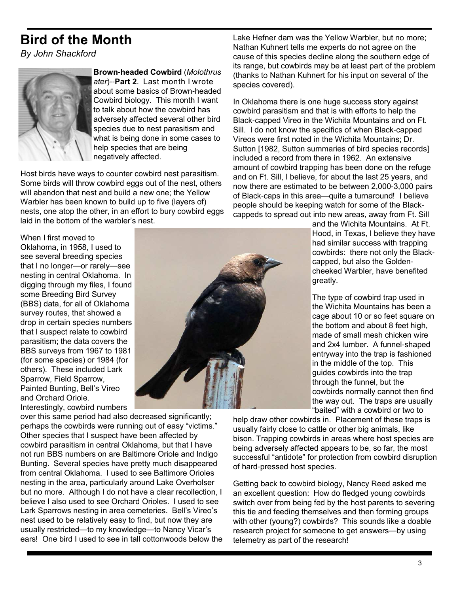# **Bird of the Month**

*By John Shackford*



**Brown-headed Cowbird** (*Molothrus ater*)--**Part 2**. Last month I wrote about some basics of Brown-headed Cowbird biology. This month I want to talk about how the cowbird has adversely affected several other bird species due to nest parasitism and what is being done in some cases to help species that are being negatively affected.

Host birds have ways to counter cowbird nest parasitism. Some birds will throw cowbird eggs out of the nest, others will abandon that nest and build a new one; the Yellow Warbler has been known to build up to five (layers of) nests, one atop the other, in an effort to bury cowbird eggs laid in the bottom of the warbler's nest.

When I first moved to Oklahoma, in 1958, I used to see several breeding species that I no longer—or rarely—see nesting in central Oklahoma. In digging through my files, I found some Breeding Bird Survey (BBS) data, for all of Oklahoma survey routes, that showed a drop in certain species numbers that I suspect relate to cowbird parasitism; the data covers the BBS surveys from 1967 to 1981 (for some species) or 1984 (for others). These included Lark Sparrow, Field Sparrow, Painted Bunting, Bell's Vireo and Orchard Oriole.

Interestingly, cowbird numbers over this same period had also decreased significantly; perhaps the cowbirds were running out of easy "victims." Other species that I suspect have been affected by cowbird parasitism in central Oklahoma, but that I have not run BBS numbers on are Baltimore Oriole and Indigo Bunting. Several species have pretty much disappeared from central Oklahoma. I used to see Baltimore Orioles nesting in the area, particularly around Lake Overholser but no more. Although I do not have a clear recollection, I believe I also used to see Orchard Orioles. I used to see Lark Sparrows nesting in area cemeteries. Bell's Vireo's nest used to be relatively easy to find, but now they are usually restricted—to my knowledge—to Nancy Vicar's ears! One bird I used to see in tall cottonwoods below the

Lake Hefner dam was the Yellow Warbler, but no more; Nathan Kuhnert tells me experts do not agree on the cause of this species decline along the southern edge of its range, but cowbirds may be at least part of the problem (thanks to Nathan Kuhnert for his input on several of the species covered).

In Oklahoma there is one huge success story against cowbird parasitism and that is with efforts to help the Black-capped Vireo in the Wichita Mountains and on Ft. Sill. I do not know the specifics of when Black-capped Vireos were first noted in the Wichita Mountains; Dr. Sutton [1982, Sutton summaries of bird species records] included a record from there in 1962. An extensive amount of cowbird trapping has been done on the refuge and on Ft. Sill, I believe, for about the last 25 years, and now there are estimated to be between 2,000-3,000 pairs of Black-caps in this area—quite a turnaround! I believe people should be keeping watch for some of the Blackcappeds to spread out into new areas, away from Ft. Sill

> and the Wichita Mountains. At Ft. Hood, in Texas, I believe they have had similar success with trapping cowbirds: there not only the Blackcapped, but also the Goldencheeked Warbler, have benefited greatly.

> The type of cowbird trap used in the Wichita Mountains has been a cage about 10 or so feet square on the bottom and about 8 feet high, made of small mesh chicken wire and 2x4 lumber. A funnel-shaped entryway into the trap is fashioned in the middle of the top. This guides cowbirds into the trap through the funnel, but the cowbirds normally cannot then find the way out. The traps are usually "baited" with a cowbird or two to

help draw other cowbirds in. Placement of these traps is usually fairly close to cattle or other big animals, like bison. Trapping cowbirds in areas where host species are being adversely affected appears to be, so far, the most successful "antidote" for protection from cowbird disruption of hard-pressed host species.

Getting back to cowbird biology, Nancy Reed asked me an excellent question: How do fledged young cowbirds switch over from being fed by the host parents to severing this tie and feeding themselves and then forming groups with other (young?) cowbirds? This sounds like a doable research project for someone to get answers—by using telemetry as part of the research!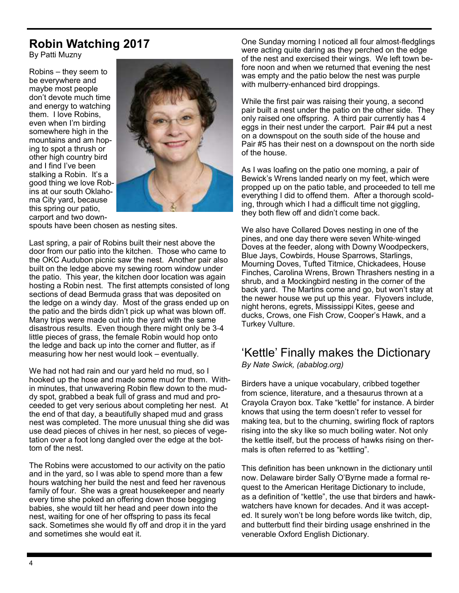### **Robin Watching 2017**

By Patti Muzny

Robins – they seem to be everywhere and maybe most people don't devote much time and energy to watching them. I love Robins, even when I'm birding somewhere high in the mountains and am hoping to spot a thrush or other high country bird and I find I've been stalking a Robin. It's a good thing we love Robins at our south Oklahoma City yard, because this spring our patio, carport and two down-



spouts have been chosen as nesting sites.

Last spring, a pair of Robins built their nest above the door from our patio into the kitchen. Those who came to the OKC Audubon picnic saw the nest. Another pair also built on the ledge above my sewing room window under the patio. This year, the kitchen door location was again hosting a Robin nest. The first attempts consisted of long sections of dead Bermuda grass that was deposited on the ledge on a windy day. Most of the grass ended up on the patio and the birds didn't pick up what was blown off. Many trips were made out into the yard with the same disastrous results. Even though there might only be 3-4 little pieces of grass, the female Robin would hop onto the ledge and back up into the corner and flutter, as if measuring how her nest would look – eventually.

We had not had rain and our yard held no mud, so I hooked up the hose and made some mud for them. Within minutes, that unwavering Robin flew down to the muddy spot, grabbed a beak full of grass and mud and proceeded to get very serious about completing her nest. At the end of that day, a beautifully shaped mud and grass nest was completed. The more unusual thing she did was use dead pieces of chives in her nest, so pieces of vegetation over a foot long dangled over the edge at the bottom of the nest.

The Robins were accustomed to our activity on the patio and in the yard, so I was able to spend more than a few hours watching her build the nest and feed her ravenous family of four. She was a great housekeeper and nearly every time she poked an offering down those begging babies, she would tilt her head and peer down into the nest, waiting for one of her offspring to pass its fecal sack. Sometimes she would fly off and drop it in the yard and sometimes she would eat it.

One Sunday morning I noticed all four almost-fledglings were acting quite daring as they perched on the edge of the nest and exercised their wings. We left town before noon and when we returned that evening the nest was empty and the patio below the nest was purple with mulberry-enhanced bird droppings.

While the first pair was raising their young, a second pair built a nest under the patio on the other side. They only raised one offspring. A third pair currently has 4 eggs in their nest under the carport. Pair #4 put a nest on a downspout on the south side of the house and Pair #5 has their nest on a downspout on the north side of the house.

As I was loafing on the patio one morning, a pair of Bewick's Wrens landed nearly on my feet, which were propped up on the patio table, and proceeded to tell me everything I did to offend them. After a thorough scolding, through which I had a difficult time not giggling, they both flew off and didn't come back.

We also have Collared Doves nesting in one of the pines, and one day there were seven White-winged Doves at the feeder, along with Downy Woodpeckers, Blue Jays, Cowbirds, House Sparrows, Starlings, Mourning Doves, Tufted Titmice, Chickadees, House Finches, Carolina Wrens, Brown Thrashers nesting in a shrub, and a Mockingbird nesting in the corner of the back yard. The Martins come and go, but won't stay at the newer house we put up this year. Flyovers include, night herons, egrets, Mississippi Kites, geese and ducks, Crows, one Fish Crow, Cooper's Hawk, and a Turkey Vulture.

## 'Kettle' Finally makes the Dictionary

*By Nate Swick, (abablog.org)*

Birders have a unique vocabulary, cribbed together from science, literature, and a thesaurus thrown at a Crayola Crayon box. Take "kettle" for instance. A birder knows that using the term doesn't refer to vessel for making tea, but to the churning, swirling flock of raptors rising into the sky like so much boiling water. Not only the kettle itself, but the process of hawks rising on thermals is often referred to as "kettling".

This definition has been unknown in the dictionary until now. Delaware birder Sally O'Byrne made a formal request to the American Heritage Dictionary to include, as a definition of "kettle", the use that birders and hawkwatchers have known for decades. And it was accepted. It surely won't be long before words like twitch, dip, and butterbutt find their birding usage enshrined in the venerable Oxford English Dictionary.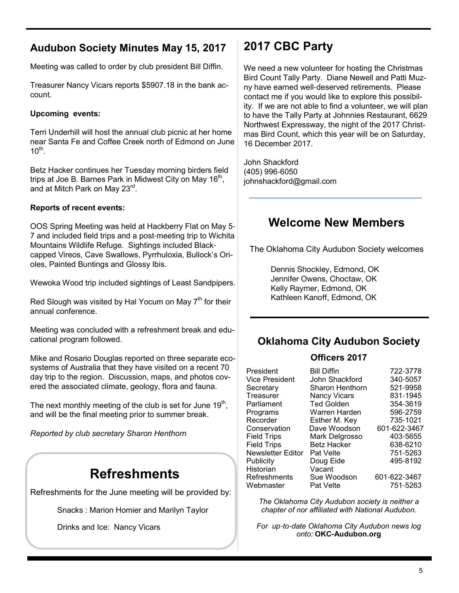### **Audubon Society Minutes May 15, 2017**

Meeting was called to order by club president Bill Diffin.

Treasurer Nancy Vicars reports \$5907.18 in the bank account.

#### **Upcoming events:**

Terri Underhill will host the annual club picnic at her home near Santa Fe and Coffee Creek north of Edmond on June  $10^{\text{th}}$ .

Betz Hacker continues her Tuesday morning birders field trips at Joe B. Barnes Park in Midwest City on May 16 $^{\rm th}$ , and at Mitch Park on May 23<sup>rd</sup>.

#### **Reports of recent events:**

OOS Spring Meeting was held at Hackberry Flat on May 5- 7 and included field trips and a post-meeting trip to Wichita Mountains Wildlife Refuge. Sightings included Blackcapped Vireos, Cave Swallows, Pyrrhuloxia, Bullock's Orioles, Painted Buntings and Glossy Ibis.

Wewoka Wood trip included sightings of Least Sandpipers.

Red Slough was visited by Hal Yocum on May  $7<sup>th</sup>$  for their annual conference.

Meeting was concluded with a refreshment break and educational program followed.

Mike and Rosario Douglas reported on three separate ecosystems of Australia that they have visited on a recent 70 day trip to the region. Discussion, maps, and photos covered the associated climate, geology, flora and fauna.

The next monthly meeting of the club is set for June 19 $^{\rm th}$ , and will be the final meeting prior to summer break.

*Reported by club secretary Sharon Henthorn*

# **Refreshments**

Refreshments for the June meeting will be provided by:

Snacks : Marion Homier and Marilyn Taylor

Drinks and Ice: Nancy Vicars

### **2017 CBC Party**

We need a new volunteer for hosting the Christmas Bird Count Tally Party. Diane Newell and Patti Muzny have earned well-deserved retirements. Please contact me if you would like to explore this possibility. If we are not able to find a volunteer, we will plan to have the Tally Party at Johnnies Restaurant, 6629 Northwest Expressway, the night of the 2017 Christmas Bird Count, which this year will be on Saturday, 16 December 2017.

John Shackford (405) 996-6050 johnshackford@gmail.com

### **Welcome New Members**

The Oklahoma City Audubon Society welcomes

Dennis Shockley, Edmond, OK Jennifer Owens, Choctaw, OK Kelly Raymer, Edmond, OK Kathleen Kanoff, Edmond, OK

#### **Oklahoma City Audubon Society**

#### **Officers 2017**

| President             | <b>Bill Diffin</b> | 722-3778     |
|-----------------------|--------------------|--------------|
| <b>Vice President</b> | John Shackford     | 340-5057     |
| Secretary             | Sharon Henthorn    | 521-9958     |
| Treasurer             | Nancy Vicars       | 831-1945     |
| Parliament            | <b>Ted Golden</b>  | 354-3619     |
| Programs              | Warren Harden      | 596-2759     |
| Recorder              | Esther M. Key      | 735-1021     |
| Conservation          | Dave Woodson       | 601-622-3467 |
| <b>Field Trips</b>    | Mark Delgrosso     | 403-5655     |
| <b>Field Trips</b>    | <b>Betz Hacker</b> | 638-6210     |
| Newsletter Editor     | <b>Pat Velte</b>   | 751-5263     |
| <b>Publicity</b>      | Doug Eide          | 495-8192     |
| Historian             | Vacant             |              |
| <b>Refreshments</b>   | Sue Woodson        | 601-622-3467 |
| Webmaster             | Pat Velte          | 751-5263     |

*The Oklahoma City Audubon society is neither a chapter of nor affiliated with National Audubon.*

*For up*-*to*-*date Oklahoma City Audubon news log onto:* **OKC-Audubon.org**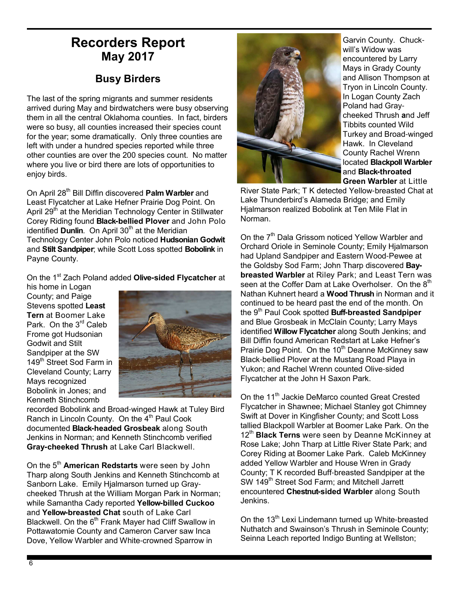### **Recorders Report May 2017**

#### **Busy Birders**

The last of the spring migrants and summer residents arrived during May and birdwatchers were busy observing them in all the central Oklahoma counties. In fact, birders were so busy, all counties increased their species count for the year; some dramatically. Only three counties are left with under a hundred species reported while three other counties are over the 200 species count. No matter where you live or bird there are lots of opportunities to enjoy birds.

On April 28th Bill Diffin discovered **Palm Warbler** and Least Flycatcher at Lake Hefner Prairie Dog Point. On April 29<sup>th</sup> at the Meridian Technology Center in Stillwater Corey Riding found **Black-bellied Plover** and John Polo identified **Dunlin**. On April 30<sup>th</sup> at the Meridian Technology Center John Polo noticed **Hudsonian Godwit** and **Stilt Sandpiper**; while Scott Loss spotted **Bobolink** in Payne County.

On the 1st Zach Poland added **Olive-sided Flycatcher** at

his home in Logan County; and Paige Stevens spotted **Least Tern** at Boomer Lake Park. On the 3<sup>rd</sup> Caleb Frome got Hudsonian Godwit and Stilt Sandpiper at the SW 149<sup>th</sup> Street Sod Farm in Cleveland County; Larry Mays recognized Bobolink in Jones; and Kenneth Stinchcomb



recorded Bobolink and Broad-winged Hawk at Tuley Bird Ranch in Lincoln County. On the 4<sup>th</sup> Paul Cook documented **Black-headed Grosbeak** along South Jenkins in Norman; and Kenneth Stinchcomb verified **Gray-cheeked Thrush** at Lake Carl Blackwell.

On the 5<sup>th</sup> **American Redstarts** were seen by John Tharp along South Jenkins and Kenneth Stinchcomb at Sanborn Lake. Emily Hjalmarson turned up Graycheeked Thrush at the William Morgan Park in Norman; while Samantha Cady reported **Yellow-billed Cuckoo** and **Yellow-breasted Chat** south of Lake Carl Blackwell. On the  $6<sup>th</sup>$  Frank Mayer had Cliff Swallow in Pottawatomie County and Cameron Carver saw Inca Dove, Yellow Warbler and White-crowned Sparrow in



Garvin County. Chuckwill's Widow was encountered by Larry Mays in Grady County and Allison Thompson at Tryon in Lincoln County. In Logan County Zach Poland had Graycheeked Thrush **a**nd Jeff Tibbits counted Wild Turkey and Broad-winged Hawk. In Cleveland County Rachel Wrenn located **Blackpoll Warbler** and **Black-throated Green Warbler** at Little

River State Park; T K detected Yellow-breasted Chat at Lake Thunderbird's Alameda Bridge; and Emily Hialmarson realized Bobolink at Ten Mile Flat in Norman.

On the 7<sup>th</sup> Dala Grissom noticed Yellow Warbler and Orchard Oriole in Seminole County; Emily Hjalmarson had Upland Sandpiper and Eastern Wood-Pewee at the Goldsby Sod Farm; John Tharp discovered **Baybreasted Warbler** at Riley Park; and Least Tern was seen at the Coffer Dam at Lake Overholser. On the 8<sup>th</sup> Nathan Kuhnert heard a **Wood Thrush** in Norman and it continued to be heard past the end of the month. On the 9th Paul Cook spotted **Buff-breasted Sandpiper** and Blue Grosbeak in McClain County; Larry Mays identified **Willow Flycatcher** along South Jenkins; and Bill Diffin found American Redstart at Lake Hefner's Prairie Dog Point. On the 10<sup>th</sup> Deanne McKinney saw Black-bellied Plover at the Mustang Road Playa in Yukon; and Rachel Wrenn counted Olive-sided Flycatcher at the John H Saxon Park.

On the 11<sup>th</sup> Jackie DeMarco counted Great Crested Flycatcher in Shawnee; Michael Stanley got Chimney Swift at Dover in Kingfisher County; and Scott Loss tallied Blackpoll Warbler at Boomer Lake Park. On the 12<sup>th</sup> **Black Terns** were seen by Deanne McKinney at Rose Lake; John Tharp at Little River State Park; and Corey Riding at Boomer Lake Park. Caleb McKinney added Yellow Warbler and House Wren in Grady County; T K recorded Buff-breasted Sandpiper at the SW 149<sup>th</sup> Street Sod Farm; and Mitchell Jarrett encountered **Chestnut-sided Warbler** along South Jenkins.

On the 13<sup>th</sup> Lexi Lindemann turned up White-breasted Nuthatch and Swainson's Thrush in Seminole County; Seinna Leach reported Indigo Bunting at Wellston;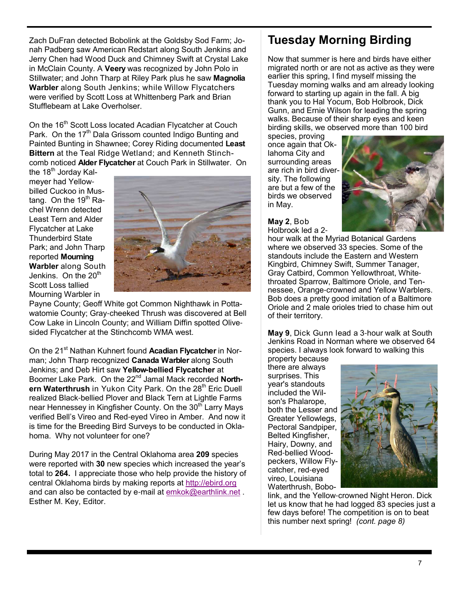Zach DuFran detected Bobolink at the Goldsby Sod Farm; Jonah Padberg saw American Redstart along South Jenkins and Jerry Chen had Wood Duck and Chimney Swift at Crystal Lake in McClain County. A **Veery** was recognized by John Polo in Stillwater; and John Tharp at Riley Park plus he saw **Magnolia Warbler** along South Jenkins; while Willow Flycatchers were verified by Scott Loss at Whittenberg Park and Brian Stufflebeam at Lake Overholser.

On the 16<sup>th</sup> Scott Loss located Acadian Flycatcher at Couch Park. On the 17<sup>th</sup> Dala Grissom counted Indigo Bunting and Painted Bunting in Shawnee; Corey Riding documented **Least Bittern** at the Teal Ridge Wetland; and Kenneth Stinchcomb noticed **Alder Flycatcher** at Couch Park in Stillwater. On

the  $18<sup>th</sup>$  Jorday Kalmeyer had Yellowbilled Cuckoo in Mustang. On the  $19<sup>th</sup>$  Rachel Wrenn detected Least Tern and Alder Flycatcher at Lake Thunderbird State Park; and John Tharp reported **Mourning Warbler** along South Jenkins. On the  $20<sup>th</sup>$ Scott Loss tallied Mourning Warbler in



Payne County; Geoff White got Common Nighthawk in Pottawatomie County; Gray-cheeked Thrush was discovered at Bell Cow Lake in Lincoln County; and William Diffin spotted Olivesided Flycatcher at the Stinchcomb WMA west.

On the 21<sup>st</sup> Nathan Kuhnert found Acadian Flycatcher in Norman; John Tharp recognized **Canada Warbler** along South Jenkins; and Deb Hirt saw **Yellow-bellied Flycatcher** at Boomer Lake Park. On the 22nd Jamal Mack recorded **North**ern Waterthrush in Yukon City Park. On the 28<sup>th</sup> Eric Duell realized Black-bellied Plover and Black Tern at Lightle Farms near Hennessey in Kingfisher County. On the 30<sup>th</sup> Larry Mays verified Bell's Vireo and Red-eyed Vireo in Amber. And now it is time for the Breeding Bird Surveys to be conducted in Oklahoma. Why not volunteer for one?

During May 2017 in the Central Oklahoma area **209** species were reported with **30** new species which increased the year's total to **264.** I appreciate those who help provide the history of central Oklahoma birds by making reports at http://ebird.org and can also be contacted by e-mail at emkok@earthlink.net . Esther M. Key, Editor.

### **Tuesday Morning Birding**

Now that summer is here and birds have either migrated north or are not as active as they were earlier this spring, I find myself missing the Tuesday morning walks and am already looking forward to starting up again in the fall. A big thank you to Hal Yocum, Bob Holbrook, Dick Gunn, and Ernie Wilson for leading the spring walks. Because of their sharp eyes and keen birding skills, we observed more than 100 bird

species, proving once again that Oklahoma City and surrounding areas are rich in bird diversity. The following are but a few of the birds we observed in May.



**May 2**, Bob Holbrook led a 2-

hour walk at the Myriad Botanical Gardens where we observed 33 species. Some of the standouts include the Eastern and Western Kingbird, Chimney Swift, Summer Tanager, Gray Catbird, Common Yellowthroat, Whitethroated Sparrow, Baltimore Oriole, and Tennessee, Orange-crowned and Yellow Warblers. Bob does a pretty good imitation of a Baltimore Oriole and 2 male orioles tried to chase him out of their territory.

**May 9**, Dick Gunn lead a 3-hour walk at South Jenkins Road in Norman where we observed 64 species. I always look forward to walking this

property because there are always surprises. This year's standouts included the Wilson's Phalarope, both the Lesser and Greater Yellowlegs, Pectoral Sandpiper, Belted Kingfisher, Hairy, Downy, and Red-bellied Woodpeckers, Willow Flycatcher, red-eyed vireo, Louisiana Waterthrush, Bobo-



link, and the Yellow-crowned Night Heron. Dick let us know that he had logged 83 species just a few days before! The competition is on to beat this number next spring! *(cont. page 8)*